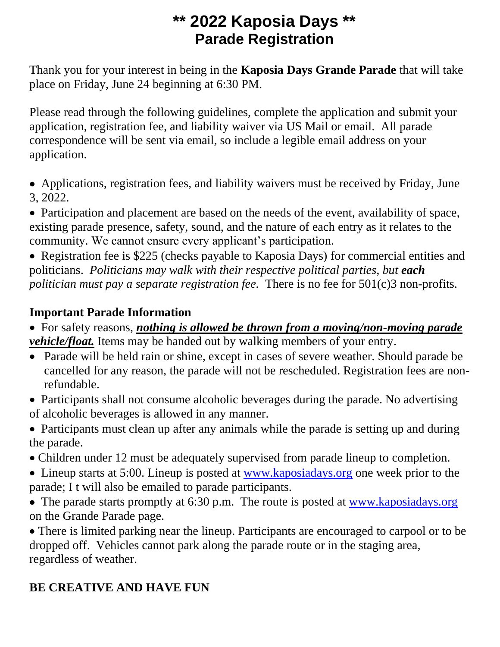# **\*\* 2022 Kaposia Days \*\* Parade Registration**

Thank you for your interest in being in the **Kaposia Days Grande Parade** that will take place on Friday, June 24 beginning at 6:30 PM.

Please read through the following guidelines, complete the application and submit your application, registration fee, and liability waiver via US Mail or email. All parade correspondence will be sent via email, so include a legible email address on your application.

• Applications, registration fees, and liability waivers must be received by Friday, June 3, 2022.

• Participation and placement are based on the needs of the event, availability of space, existing parade presence, safety, sound, and the nature of each entry as it relates to the community. We cannot ensure every applicant's participation.

• Registration fee is \$225 (checks payable to Kaposia Days) for commercial entities and politicians. *Politicians may walk with their respective political parties, but each politician must pay a separate registration fee.* There is no fee for 501(c)3 non-profits.

### **Important Parade Information**

- For safety reasons, *nothing is allowed be thrown from a moving/non-moving parade vehicle/float.* Items may be handed out by walking members of your entry.
- Parade will be held rain or shine, except in cases of severe weather. Should parade be cancelled for any reason, the parade will not be rescheduled. Registration fees are nonrefundable.
- Participants shall not consume alcoholic beverages during the parade. No advertising of alcoholic beverages is allowed in any manner.
- Participants must clean up after any animals while the parade is setting up and during the parade.
- Children under 12 must be adequately supervised from parade lineup to completion.
- Lineup starts at 5:00. Lineup is posted at [www.kaposiadays.org](http://www.kaposiadays.org/) one week prior to the parade; I t will also be emailed to parade participants.
- The parade starts promptly at 6:30 p.m. The route is posted at [www.kaposiadays.org](http://www.kaposiadays.org/) on the Grande Parade page.

• There is limited parking near the lineup. Participants are encouraged to carpool or to be dropped off. Vehicles cannot park along the parade route or in the staging area, regardless of weather.

## **BE CREATIVE AND HAVE FUN**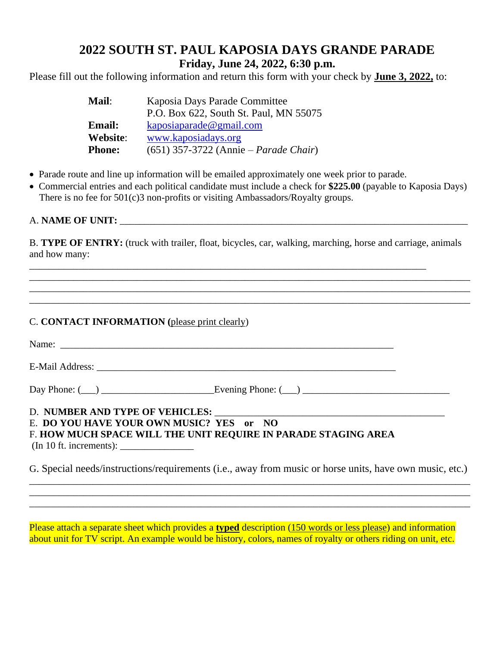### **2022 SOUTH ST. PAUL KAPOSIA DAYS GRANDE PARADE Friday, June 24, 2022, 6:30 p.m.**

Please fill out the following information and return this form with your check by **June 3, 2022,** to:

| <b>Mail:</b>  | Kaposia Days Parade Committee           |
|---------------|-----------------------------------------|
|               | P.O. Box 622, South St. Paul, MN 55075  |
| <b>Email:</b> | kaposiaparade@gmail.com                 |
| Website:      | www.kaposiadays.org                     |
| <b>Phone:</b> | $(651)$ 357-3722 (Annie – Parade Chair) |

- Parade route and line up information will be emailed approximately one week prior to parade.
- Commercial entries and each political candidate must include a check for **\$225.00** (payable to Kaposia Days) There is no fee for 501(c)3 non-profits or visiting Ambassadors/Royalty groups.

#### A. **NAME OF UNIT:**  $\blacksquare$

B. **TYPE OF ENTRY:** (truck with trailer, float, bicycles, car, walking, marching, horse and carriage, animals and how many:

\_\_\_\_\_\_\_\_\_\_\_\_\_\_\_\_\_\_\_\_\_\_\_\_\_\_\_\_\_\_\_\_\_\_\_\_\_\_\_\_\_\_\_\_\_\_\_\_\_\_\_\_\_\_\_\_\_\_\_\_\_\_\_\_\_\_\_\_\_\_\_\_\_\_\_\_\_\_\_\_\_\_\_\_\_\_\_\_\_\_

\_\_\_\_\_\_\_\_\_\_\_\_\_\_\_\_\_\_\_\_\_\_\_\_\_\_\_\_\_\_\_\_\_\_\_\_\_\_\_\_\_\_\_\_\_\_\_\_\_\_\_\_\_\_\_\_\_\_\_\_\_\_\_\_\_\_\_\_\_\_\_\_\_\_\_\_\_\_\_\_\_\_\_\_\_\_\_\_\_\_

\_\_\_\_\_\_\_\_\_\_\_\_\_\_\_\_\_\_\_\_\_\_\_\_\_\_\_\_\_\_\_\_\_\_\_\_\_\_\_\_\_\_\_\_\_\_\_\_\_\_\_\_\_\_\_\_\_\_\_\_\_\_\_\_\_\_\_\_\_\_\_\_\_\_\_\_\_\_\_\_\_

#### C. **CONTACT INFORMATION (**please print clearly)

| E. DO YOU HAVE YOUR OWN MUSIC? YES or NO<br>F. HOW MUCH SPACE WILL THE UNIT REQUIRE IN PARADE STAGING AREA |  |
|------------------------------------------------------------------------------------------------------------|--|

G. Special needs/instructions/requirements (i.e., away from music or horse units, have own music, etc.) \_\_\_\_\_\_\_\_\_\_\_\_\_\_\_\_\_\_\_\_\_\_\_\_\_\_\_\_\_\_\_\_\_\_\_\_\_\_\_\_\_\_\_\_\_\_\_\_\_\_\_\_\_\_\_\_\_\_\_\_\_\_\_\_\_\_\_\_\_\_\_\_\_\_\_\_\_\_\_\_\_\_\_\_\_\_\_\_\_\_

\_\_\_\_\_\_\_\_\_\_\_\_\_\_\_\_\_\_\_\_\_\_\_\_\_\_\_\_\_\_\_\_\_\_\_\_\_\_\_\_\_\_\_\_\_\_\_\_\_\_\_\_\_\_\_\_\_\_\_\_\_\_\_\_\_\_\_\_\_\_\_\_\_\_\_\_\_\_\_\_\_\_\_\_\_\_\_\_\_\_ \_\_\_\_\_\_\_\_\_\_\_\_\_\_\_\_\_\_\_\_\_\_\_\_\_\_\_\_\_\_\_\_\_\_\_\_\_\_\_\_\_\_\_\_\_\_\_\_\_\_\_\_\_\_\_\_\_\_\_\_\_\_\_\_\_\_\_\_\_\_\_\_\_\_\_\_\_\_\_\_\_\_\_\_\_\_\_\_\_\_

Please attach a separate sheet which provides a **typed** description (150 words or less please) and information about unit for TV script. An example would be history, colors, names of royalty or others riding on unit, etc.